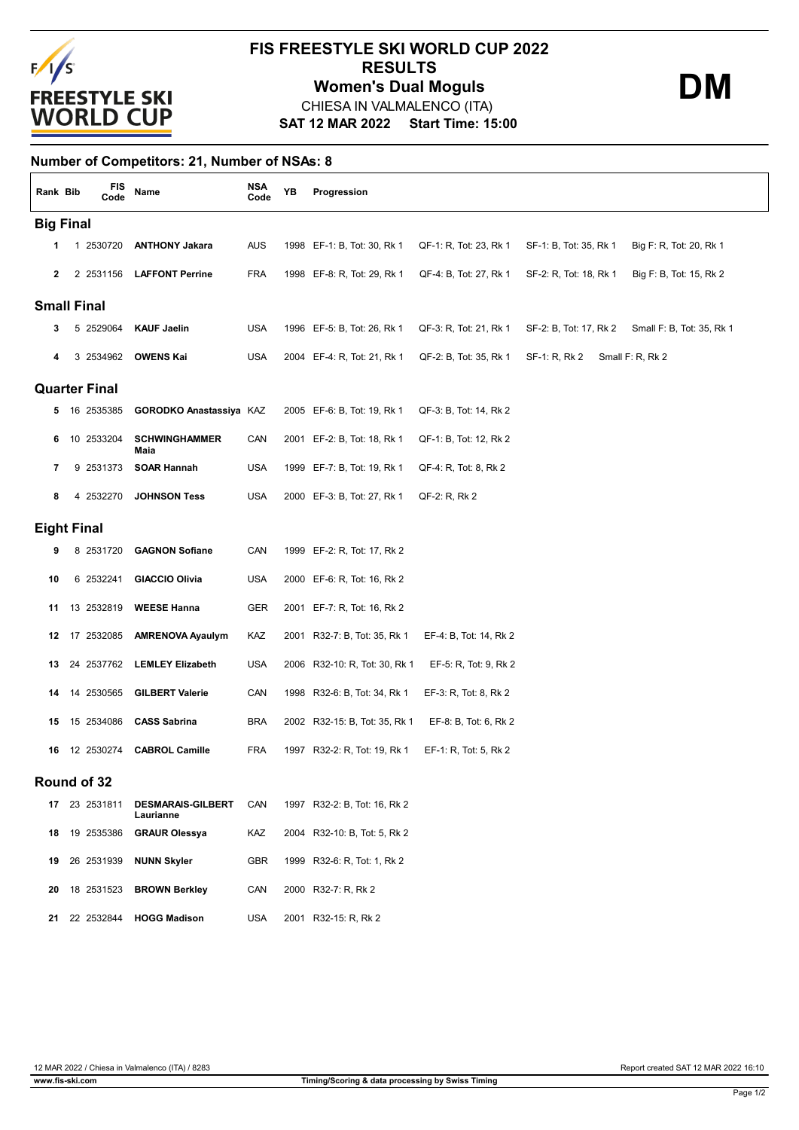

## **SAT 12 MAR 2022 Start Time: 15:00 FIS FREESTYLE SKI WORLD CUP 2022 RESULTS** CHIESA IN VALMALENCO (ITA) **Women's Dual Moguls DM**

**Number of Competitors: 21, Number of NSAs: 8**

| Rank Bib             |  |  | FIS<br>Code   | Name                                  | <b>NSA</b><br>Code | YB | Progression                   |                        |                        |                           |  |  |
|----------------------|--|--|---------------|---------------------------------------|--------------------|----|-------------------------------|------------------------|------------------------|---------------------------|--|--|
| <b>Big Final</b>     |  |  |               |                                       |                    |    |                               |                        |                        |                           |  |  |
| 1                    |  |  | 1 2530720     | <b>ANTHONY Jakara</b>                 | <b>AUS</b>         |    | 1998 EF-1: B, Tot: 30, Rk 1   | QF-1: R, Tot: 23, Rk 1 | SF-1: B, Tot: 35, Rk 1 | Big F: R, Tot: 20, Rk 1   |  |  |
| $\mathbf{2}$         |  |  | 2 2531156     | <b>LAFFONT Perrine</b>                | <b>FRA</b>         |    | 1998 EF-8: R, Tot: 29, Rk 1   | QF-4: B, Tot: 27, Rk 1 | SF-2: R, Tot: 18, Rk 1 | Big F: B, Tot: 15, Rk 2   |  |  |
| <b>Small Final</b>   |  |  |               |                                       |                    |    |                               |                        |                        |                           |  |  |
| 3                    |  |  | 5 2529064     | <b>KAUF Jaelin</b>                    | <b>USA</b>         |    | 1996 EF-5: B, Tot: 26, Rk 1   | QF-3: R, Tot: 21, Rk 1 | SF-2: B, Tot: 17, Rk 2 | Small F: B, Tot: 35, Rk 1 |  |  |
| 4                    |  |  | 3 2534962     | <b>OWENS Kai</b>                      | <b>USA</b>         |    | 2004 EF-4: R, Tot: 21, Rk 1   | QF-2: B, Tot: 35, Rk 1 | SF-1: R, Rk 2          | Small F: R, Rk 2          |  |  |
| <b>Quarter Final</b> |  |  |               |                                       |                    |    |                               |                        |                        |                           |  |  |
|                      |  |  | 5 16 2535385  | GORODKO Anastassiya KAZ               |                    |    | 2005 EF-6: B, Tot: 19, Rk 1   | QF-3: B, Tot: 14, Rk 2 |                        |                           |  |  |
| 6                    |  |  | 10 2533204    | <b>SCHWINGHAMMER</b><br>Maia          | CAN                |    | 2001 EF-2: B, Tot: 18, Rk 1   | QF-1: B, Tot: 12, Rk 2 |                        |                           |  |  |
| 7                    |  |  | 9 2531373     | <b>SOAR Hannah</b>                    | <b>USA</b>         |    | 1999 EF-7: B, Tot: 19, Rk 1   | QF-4: R, Tot: 8, Rk 2  |                        |                           |  |  |
| 8                    |  |  | 4 2532270     | <b>JOHNSON Tess</b>                   | <b>USA</b>         |    | 2000 EF-3: B, Tot: 27, Rk 1   | QF-2: R, Rk 2          |                        |                           |  |  |
| <b>Eight Final</b>   |  |  |               |                                       |                    |    |                               |                        |                        |                           |  |  |
| 9                    |  |  | 8 2531720     | <b>GAGNON Sofiane</b>                 | CAN                |    | 1999 EF-2: R, Tot: 17, Rk 2   |                        |                        |                           |  |  |
| 10                   |  |  | 6 2532241     | <b>GIACCIO Olivia</b>                 | USA                |    | 2000 EF-6: R, Tot: 16, Rk 2   |                        |                        |                           |  |  |
| 11                   |  |  | 13 2532819    | <b>WEESE Hanna</b>                    | GER                |    | 2001 EF-7: R, Tot: 16, Rk 2   |                        |                        |                           |  |  |
|                      |  |  | 12 17 2532085 | <b>AMRENOVA Ayaulym</b>               | KAZ                |    | 2001 R32-7: B, Tot: 35, Rk 1  | EF-4: B, Tot: 14, Rk 2 |                        |                           |  |  |
| 13                   |  |  | 24 2537762    | <b>LEMLEY Elizabeth</b>               | USA                |    | 2006 R32-10: R, Tot: 30, Rk 1 | EF-5: R, Tot: 9, Rk 2  |                        |                           |  |  |
| 14                   |  |  | 14 2530565    | <b>GILBERT Valerie</b>                | CAN                |    | 1998 R32-6: B, Tot: 34, Rk 1  | EF-3: R, Tot: 8, Rk 2  |                        |                           |  |  |
| 15                   |  |  | 15 2534086    | <b>CASS Sabrina</b>                   | <b>BRA</b>         |    | 2002 R32-15: B, Tot: 35, Rk 1 | EF-8: B, Tot: 6, Rk 2  |                        |                           |  |  |
| 16                   |  |  | 12 2530274    | <b>CABROL Camille</b>                 | <b>FRA</b>         |    | 1997 R32-2: R, Tot: 19, Rk 1  | EF-1: R, Tot: 5, Rk 2  |                        |                           |  |  |
| Round of 32          |  |  |               |                                       |                    |    |                               |                        |                        |                           |  |  |
|                      |  |  | 17 23 2531811 | <b>DESMARAIS-GILBERT</b><br>Laurianne | CAN                |    | 1997 R32-2: B, Tot: 16, Rk 2  |                        |                        |                           |  |  |
| 18                   |  |  | 19 2535386    | <b>GRAUR Olessya</b>                  | KAZ                |    | 2004 R32-10: B, Tot: 5, Rk 2  |                        |                        |                           |  |  |
| 19                   |  |  | 26 2531939    | <b>NUNN Skyler</b>                    | GBR                |    | 1999 R32-6: R, Tot: 1, Rk 2   |                        |                        |                           |  |  |
| 20                   |  |  | 18 2531523    | <b>BROWN Berkley</b>                  | CAN                |    | 2000 R32-7: R, Rk 2           |                        |                        |                           |  |  |
|                      |  |  | 21 22 2532844 | <b>HOGG Madison</b>                   | <b>USA</b>         |    | 2001 R32-15: R, Rk 2          |                        |                        |                           |  |  |